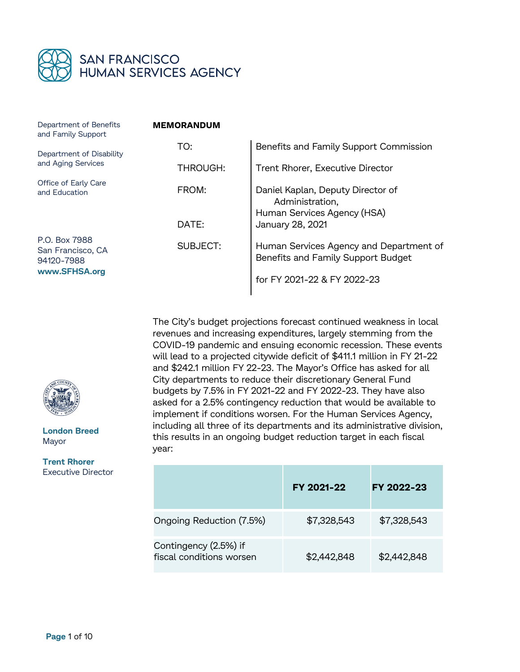

| Department of Benefits<br>and Family Support                      | <b>MEMORANDUM</b> |                                                                               |  |
|-------------------------------------------------------------------|-------------------|-------------------------------------------------------------------------------|--|
| Department of Disability<br>and Aging Services                    | TO:               | Benefits and Family Support Commission                                        |  |
|                                                                   | THROUGH:          | Trent Rhorer, Executive Director                                              |  |
| Office of Early Care<br>and Education                             | FROM:             | Daniel Kaplan, Deputy Director of<br>Administration,                          |  |
|                                                                   | DATE:             | Human Services Agency (HSA)<br>January 28, 2021                               |  |
| P.O. Box 7988<br>San Francisco, CA<br>94120-7988<br>www.SFHSA.org | <b>SUBJECT:</b>   | Human Services Agency and Department of<br>Benefits and Family Support Budget |  |
|                                                                   |                   | for FY 2021-22 & FY 2022-23                                                   |  |
|                                                                   |                   |                                                                               |  |

The City's budget projections forecast continued weakness in local revenues and increasing expenditures, largely stemming from the COVID-19 pandemic and ensuing economic recession. These events will lead to a projected citywide deficit of \$411.1 million in FY 21-22 and \$242.1 million FY 22-23. The Mayor's Office has asked for all City departments to reduce their discretionary General Fund budgets by 7.5% in FY 2021-22 and FY 2022-23. They have also asked for a 2.5% contingency reduction that would be available to implement if conditions worsen. For the Human Services Agency, including all three of its departments and its administrative division, this results in an ongoing budget reduction target in each fiscal year:

|                                                   | FY 2021-22  | FY 2022-23  |
|---------------------------------------------------|-------------|-------------|
| Ongoing Reduction (7.5%)                          | \$7,328,543 | \$7,328,543 |
| Contingency (2.5%) if<br>fiscal conditions worsen | \$2,442,848 | \$2,442,848 |



**London Breed** Mayor

**Trent Rhorer** Executive Director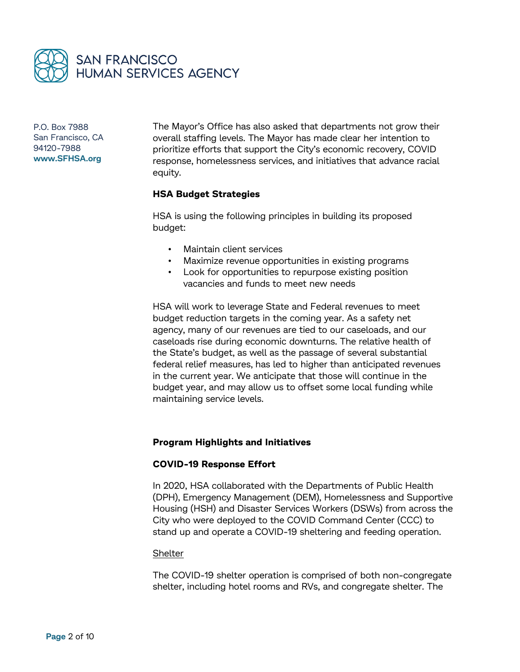

The Mayor's Office has also asked that departments not grow their overall staffing levels. The Mayor has made clear her intention to prioritize efforts that support the City's economic recovery, COVID response, homelessness services, and initiatives that advance racial equity.

# **HSA Budget Strategies**

HSA is using the following principles in building its proposed budget:

- Maintain client services
- Maximize revenue opportunities in existing programs
- Look for opportunities to repurpose existing position vacancies and funds to meet new needs

HSA will work to leverage State and Federal revenues to meet budget reduction targets in the coming year. As a safety net agency, many of our revenues are tied to our caseloads, and our caseloads rise during economic downturns. The relative health of the State's budget, as well as the passage of several substantial federal relief measures, has led to higher than anticipated revenues in the current year. We anticipate that those will continue in the budget year, and may allow us to offset some local funding while maintaining service levels.

### **Program Highlights and Initiatives**

### **COVID-19 Response Effort**

In 2020, HSA collaborated with the Departments of Public Health (DPH), Emergency Management (DEM), Homelessness and Supportive Housing (HSH) and Disaster Services Workers (DSWs) from across the City who were deployed to the COVID Command Center (CCC) to stand up and operate a COVID-19 sheltering and feeding operation.

### Shelter

The COVID-19 shelter operation is comprised of both non-congregate shelter, including hotel rooms and RVs, and congregate shelter. The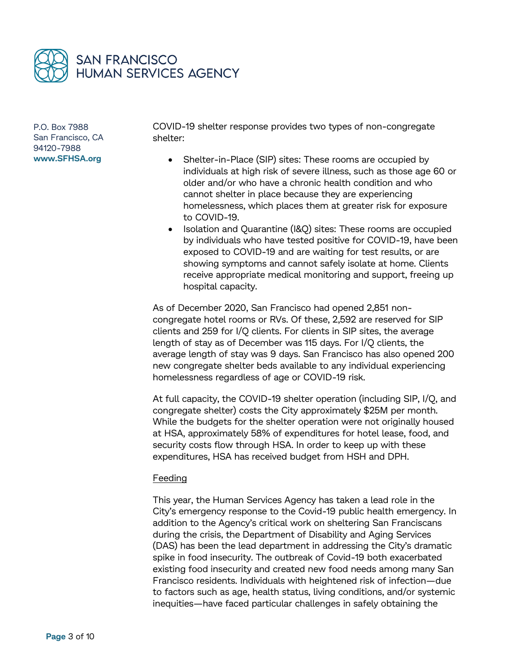

COVID-19 shelter response provides two types of non-congregate shelter:

- Shelter-in-Place (SIP) sites: These rooms are occupied by individuals at high risk of severe illness, such as those age 60 or older and/or who have a chronic health condition and who cannot shelter in place because they are experiencing homelessness, which places them at greater risk for exposure to COVID-19.
- Isolation and Quarantine (I&Q) sites: These rooms are occupied by individuals who have tested positive for COVID-19, have been exposed to COVID-19 and are waiting for test results, or are showing symptoms and cannot safely isolate at home. Clients receive appropriate medical monitoring and support, freeing up hospital capacity.

As of December 2020, San Francisco had opened 2,851 noncongregate hotel rooms or RVs. Of these, 2,592 are reserved for SIP clients and 259 for I/Q clients. For clients in SIP sites, the average length of stay as of December was 115 days. For I/Q clients, the average length of stay was 9 days. San Francisco has also opened 200 new congregate shelter beds available to any individual experiencing homelessness regardless of age or COVID-19 risk.

At full capacity, the COVID-19 shelter operation (including SIP, I/Q, and congregate shelter) costs the City approximately \$25M per month. While the budgets for the shelter operation were not originally housed at HSA, approximately 58% of expenditures for hotel lease, food, and security costs flow through HSA. In order to keep up with these expenditures, HSA has received budget from HSH and DPH.

### Feeding

This year, the Human Services Agency has taken a lead role in the City's emergency response to the Covid-19 public health emergency. In addition to the Agency's critical work on sheltering San Franciscans during the crisis, the Department of Disability and Aging Services (DAS) has been the lead department in addressing the City's dramatic spike in food insecurity. The outbreak of Covid-19 both exacerbated existing food insecurity and created new food needs among many San Francisco residents. Individuals with heightened risk of infection—due to factors such as age, health status, living conditions, and/or systemic inequities—have faced particular challenges in safely obtaining the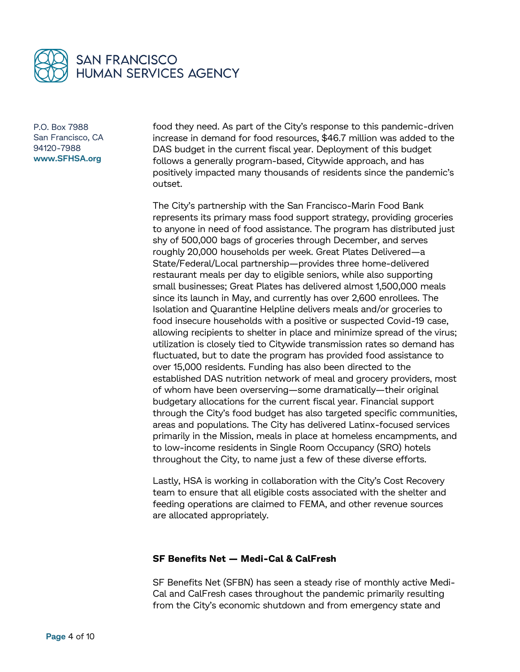

food they need. As part of the City's response to this pandemic-driven increase in demand for food resources, \$46.7 million was added to the DAS budget in the current fiscal year. Deployment of this budget follows a generally program-based, Citywide approach, and has positively impacted many thousands of residents since the pandemic's outset.

The City's partnership with the San Francisco-Marin Food Bank represents its primary mass food support strategy, providing groceries to anyone in need of food assistance. The program has distributed just shy of 500,000 bags of groceries through December, and serves roughly 20,000 households per week. Great Plates Delivered—a State/Federal/Local partnership—provides three home-delivered restaurant meals per day to eligible seniors, while also supporting small businesses; Great Plates has delivered almost 1,500,000 meals since its launch in May, and currently has over 2,600 enrollees. The Isolation and Quarantine Helpline delivers meals and/or groceries to food insecure households with a positive or suspected Covid-19 case, allowing recipients to shelter in place and minimize spread of the virus; utilization is closely tied to Citywide transmission rates so demand has fluctuated, but to date the program has provided food assistance to over 15,000 residents. Funding has also been directed to the established DAS nutrition network of meal and grocery providers, most of whom have been overserving—some dramatically—their original budgetary allocations for the current fiscal year. Financial support through the City's food budget has also targeted specific communities, areas and populations. The City has delivered Latinx-focused services primarily in the Mission, meals in place at homeless encampments, and to low-income residents in Single Room Occupancy (SRO) hotels throughout the City, to name just a few of these diverse efforts.

Lastly, HSA is working in collaboration with the City's Cost Recovery team to ensure that all eligible costs associated with the shelter and feeding operations are claimed to FEMA, and other revenue sources are allocated appropriately.

### **SF Benefits Net — Medi-Cal & CalFresh**

SF Benefits Net (SFBN) has seen a steady rise of monthly active Medi-Cal and CalFresh cases throughout the pandemic primarily resulting from the City's economic shutdown and from emergency state and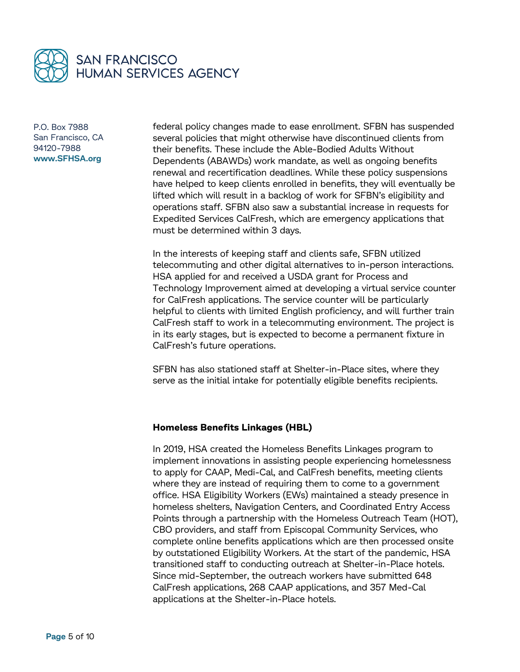

federal policy changes made to ease enrollment. SFBN has suspended several policies that might otherwise have discontinued clients from their benefits. These include the Able-Bodied Adults Without Dependents (ABAWDs) work mandate, as well as ongoing benefits renewal and recertification deadlines. While these policy suspensions have helped to keep clients enrolled in benefits, they will eventually be lifted which will result in a backlog of work for SFBN's eligibility and operations staff. SFBN also saw a substantial increase in requests for Expedited Services CalFresh, which are emergency applications that must be determined within 3 days.

In the interests of keeping staff and clients safe, SFBN utilized telecommuting and other digital alternatives to in-person interactions. HSA applied for and received a USDA grant for Process and Technology Improvement aimed at developing a virtual service counter for CalFresh applications. The service counter will be particularly helpful to clients with limited English proficiency, and will further train CalFresh staff to work in a telecommuting environment. The project is in its early stages, but is expected to become a permanent fixture in CalFresh's future operations.

SFBN has also stationed staff at Shelter-in-Place sites, where they serve as the initial intake for potentially eligible benefits recipients.

### **Homeless Benefits Linkages (HBL)**

In 2019, HSA created the Homeless Benefits Linkages program to implement innovations in assisting people experiencing homelessness to apply for CAAP, Medi-Cal, and CalFresh benefits, meeting clients where they are instead of requiring them to come to a government office. HSA Eligibility Workers (EWs) maintained a steady presence in homeless shelters, Navigation Centers, and Coordinated Entry Access Points through a partnership with the Homeless Outreach Team (HOT), CBO providers, and staff from Episcopal Community Services, who complete online benefits applications which are then processed onsite by outstationed Eligibility Workers. At the start of the pandemic, HSA transitioned staff to conducting outreach at Shelter-in-Place hotels. Since mid-September, the outreach workers have submitted 648 CalFresh applications, 268 CAAP applications, and 357 Med-Cal applications at the Shelter-in-Place hotels.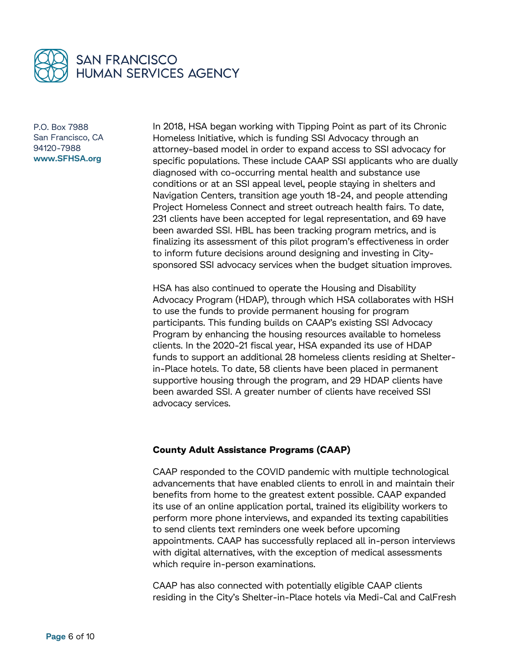

In 2018, HSA began working with Tipping Point as part of its Chronic Homeless Initiative, which is funding SSI Advocacy through an attorney-based model in order to expand access to SSI advocacy for specific populations. These include CAAP SSI applicants who are dually diagnosed with co-occurring mental health and substance use conditions or at an SSI appeal level, people staying in shelters and Navigation Centers, transition age youth 18-24, and people attending Project Homeless Connect and street outreach health fairs. To date, 231 clients have been accepted for legal representation, and 69 have been awarded SSI. HBL has been tracking program metrics, and is finalizing its assessment of this pilot program's effectiveness in order to inform future decisions around designing and investing in Citysponsored SSI advocacy services when the budget situation improves.

HSA has also continued to operate the Housing and Disability Advocacy Program (HDAP), through which HSA collaborates with HSH to use the funds to provide permanent housing for program participants. This funding builds on CAAP's existing SSI Advocacy Program by enhancing the housing resources available to homeless clients. In the 2020-21 fiscal year, HSA expanded its use of HDAP funds to support an additional 28 homeless clients residing at Shelterin-Place hotels. To date, 58 clients have been placed in permanent supportive housing through the program, and 29 HDAP clients have been awarded SSI. A greater number of clients have received SSI advocacy services.

### **County Adult Assistance Programs (CAAP)**

CAAP responded to the COVID pandemic with multiple technological advancements that have enabled clients to enroll in and maintain their benefits from home to the greatest extent possible. CAAP expanded its use of an online application portal, trained its eligibility workers to perform more phone interviews, and expanded its texting capabilities to send clients text reminders one week before upcoming appointments. CAAP has successfully replaced all in-person interviews with digital alternatives, with the exception of medical assessments which require in-person examinations.

CAAP has also connected with potentially eligible CAAP clients residing in the City's Shelter-in-Place hotels via Medi-Cal and CalFresh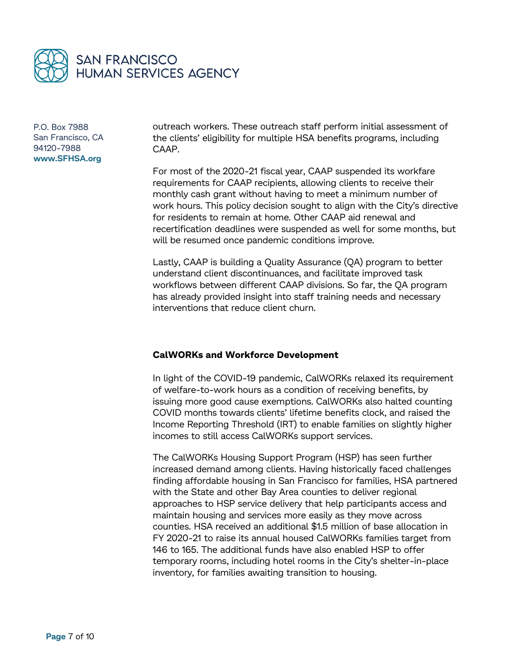

outreach workers. These outreach staff perform initial assessment of the clients' eligibility for multiple HSA benefits programs, including CAAP.

For most of the 2020-21 fiscal year, CAAP suspended its workfare requirements for CAAP recipients, allowing clients to receive their monthly cash grant without having to meet a minimum number of work hours. This policy decision sought to align with the City's directive for residents to remain at home. Other CAAP aid renewal and recertification deadlines were suspended as well for some months, but will be resumed once pandemic conditions improve.

Lastly, CAAP is building a Quality Assurance (QA) program to better understand client discontinuances, and facilitate improved task workflows between different CAAP divisions. So far, the QA program has already provided insight into staff training needs and necessary interventions that reduce client churn.

## **CalWORKs and Workforce Development**

In light of the COVID-19 pandemic, CalWORKs relaxed its requirement of welfare-to-work hours as a condition of receiving benefits, by issuing more good cause exemptions. CalWORKs also halted counting COVID months towards clients' lifetime benefits clock, and raised the Income Reporting Threshold (IRT) to enable families on slightly higher incomes to still access CalWORKs support services.

The CalWORKs Housing Support Program (HSP) has seen further increased demand among clients. Having historically faced challenges finding affordable housing in San Francisco for families, HSA partnered with the State and other Bay Area counties to deliver regional approaches to HSP service delivery that help participants access and maintain housing and services more easily as they move across counties. HSA received an additional \$1.5 million of base allocation in FY 2020-21 to raise its annual housed CalWORKs families target from 146 to 165. The additional funds have also enabled HSP to offer temporary rooms, including hotel rooms in the City's shelter-in-place inventory, for families awaiting transition to housing.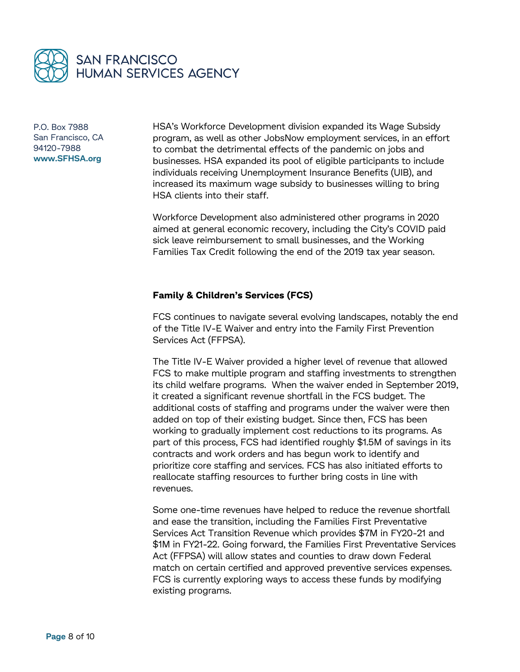

HSA's Workforce Development division expanded its Wage Subsidy program, as well as other JobsNow employment services, in an effort to combat the detrimental effects of the pandemic on jobs and businesses. HSA expanded its pool of eligible participants to include individuals receiving Unemployment Insurance Benefits (UIB), and increased its maximum wage subsidy to businesses willing to bring HSA clients into their staff.

Workforce Development also administered other programs in 2020 aimed at general economic recovery, including the City's COVID paid sick leave reimbursement to small businesses, and the Working Families Tax Credit following the end of the 2019 tax year season.

# **Family & Children's Services (FCS)**

FCS continues to navigate several evolving landscapes, notably the end of the Title IV-E Waiver and entry into the Family First Prevention Services Act (FFPSA).

The Title IV-E Waiver provided a higher level of revenue that allowed FCS to make multiple program and staffing investments to strengthen its child welfare programs. When the waiver ended in September 2019, it created a significant revenue shortfall in the FCS budget. The additional costs of staffing and programs under the waiver were then added on top of their existing budget. Since then, FCS has been working to gradually implement cost reductions to its programs. As part of this process, FCS had identified roughly \$1.5M of savings in its contracts and work orders and has begun work to identify and prioritize core staffing and services. FCS has also initiated efforts to reallocate staffing resources to further bring costs in line with revenues.

Some one-time revenues have helped to reduce the revenue shortfall and ease the transition, including the Families First Preventative Services Act Transition Revenue which provides \$7M in FY20-21 and \$1M in FY21-22. Going forward, the Families First Preventative Services Act (FFPSA) will allow states and counties to draw down Federal match on certain certified and approved preventive services expenses. FCS is currently exploring ways to access these funds by modifying existing programs.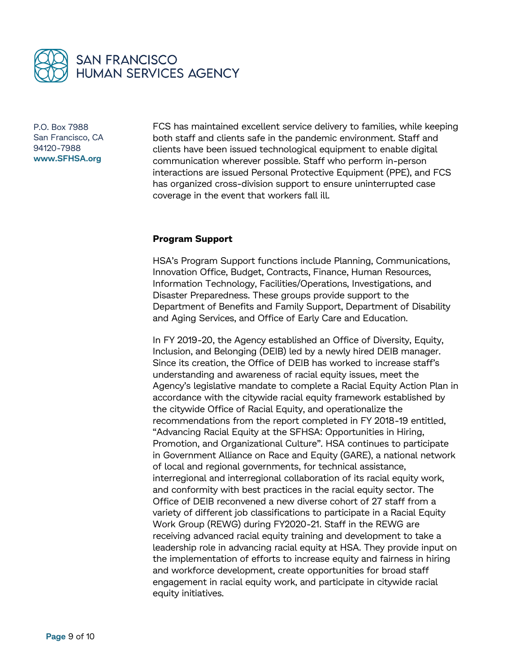

FCS has maintained excellent service delivery to families, while keeping both staff and clients safe in the pandemic environment. Staff and clients have been issued technological equipment to enable digital communication wherever possible. Staff who perform in-person interactions are issued Personal Protective Equipment (PPE), and FCS has organized cross-division support to ensure uninterrupted case coverage in the event that workers fall ill.

### **Program Support**

HSA's Program Support functions include Planning, Communications, Innovation Office, Budget, Contracts, Finance, Human Resources, Information Technology, Facilities/Operations, Investigations, and Disaster Preparedness. These groups provide support to the Department of Benefits and Family Support, Department of Disability and Aging Services, and Office of Early Care and Education.

In FY 2019-20, the Agency established an Office of Diversity, Equity, Inclusion, and Belonging (DEIB) led by a newly hired DEIB manager. Since its creation, the Office of DEIB has worked to increase staff's understanding and awareness of racial equity issues, meet the Agency's legislative mandate to complete a Racial Equity Action Plan in accordance with the citywide racial equity framework established by the citywide Office of Racial Equity, and operationalize the recommendations from the report completed in FY 2018-19 entitled, "Advancing Racial Equity at the SFHSA: Opportunities in Hiring, Promotion, and Organizational Culture". HSA continues to participate in Government Alliance on Race and Equity (GARE), a national network of local and regional governments, for technical assistance, interregional and interregional collaboration of its racial equity work, and conformity with best practices in the racial equity sector. The Office of DEIB reconvened a new diverse cohort of 27 staff from a variety of different job classifications to participate in a Racial Equity Work Group (REWG) during FY2020-21. Staff in the REWG are receiving advanced racial equity training and development to take a leadership role in advancing racial equity at HSA. They provide input on the implementation of efforts to increase equity and fairness in hiring and workforce development, create opportunities for broad staff engagement in racial equity work, and participate in citywide racial equity initiatives.